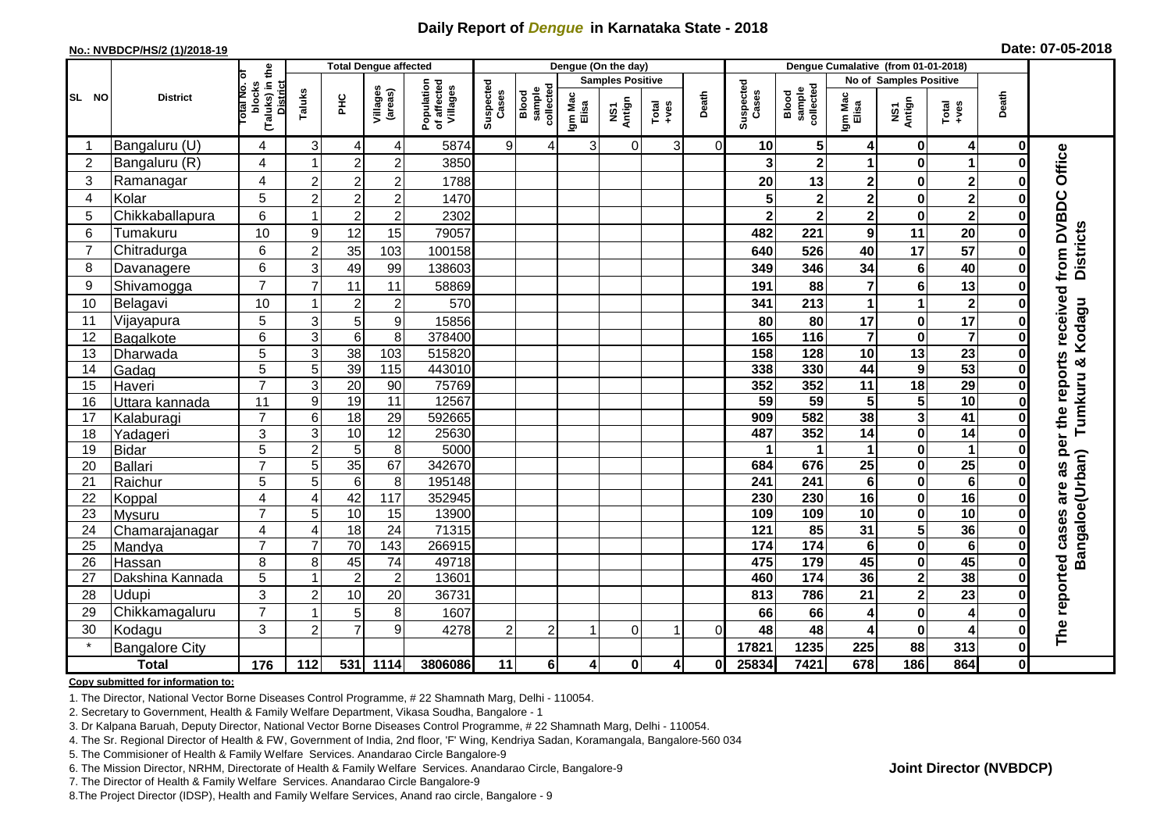## **Daily Report of** *Dengue* **in Karnataka State - 2018**

#### **No.: NVBDCP/HS/2 (1)/2018-19**

|  | Date: 07-05-2018 |  |
|--|------------------|--|
|--|------------------|--|

|                 | <b>Total Dengue affected</b> |                                                           |                |                 |                     |                                       |                    |                              |                  | Dengue (On the day)               |                                                              |          |                    |                              |                         |                         |                         |              |                                |
|-----------------|------------------------------|-----------------------------------------------------------|----------------|-----------------|---------------------|---------------------------------------|--------------------|------------------------------|------------------|-----------------------------------|--------------------------------------------------------------|----------|--------------------|------------------------------|-------------------------|-------------------------|-------------------------|--------------|--------------------------------|
|                 |                              | ō                                                         |                |                 |                     |                                       |                    |                              |                  | <b>Samples Positive</b>           |                                                              |          |                    |                              | No of Samples Positive  |                         |                         |              |                                |
| SL NO           | <b>District</b>              | (Taluks) in the<br>Total No.<br>blocks<br><b>District</b> | Taluks         | PНC             | Villages<br>(areas) | Population<br>of affected<br>Villages | Suspected<br>Cases | collectec<br>sample<br>Blood | Igm Mac<br>Elisa | Antign<br>$\overline{\mathbf{s}}$ | $\begin{array}{c}\n\text{Total} \\ \text{Area}\n\end{array}$ | Death    | Suspected<br>Cases | collected<br>sample<br>Blood | Igm Mac<br>Elisa        | NS1<br>Antign           | Total<br>+ves           | Death        |                                |
|                 | Bangaluru (U)                | 4                                                         | 3              | 4               | 4                   | 5874                                  | $\overline{9}$     | 4                            | 3                | $\mathbf 0$                       | 3 <sup>1</sup>                                               | $\Omega$ | 10                 | $\sqrt{5}$                   | 4                       | 0                       | 4                       | 0            |                                |
| $\overline{2}$  | Bangaluru (R)                | 4                                                         |                | $\overline{a}$  | $\overline{2}$      | 3850                                  |                    |                              |                  |                                   |                                                              |          | 3                  | $\overline{2}$               | 1                       | $\bf{0}$                | 1                       |              |                                |
| 3               | Ramanagar                    | 4                                                         | $\overline{2}$ | $\overline{a}$  | $\overline{2}$      | 1788                                  |                    |                              |                  |                                   |                                                              |          | 20                 | 13                           | $\mathbf 2$             | $\bf{0}$                | $\mathbf 2$             |              | Office                         |
| $\overline{4}$  | Kolar                        | 5                                                         | $\overline{2}$ | $\overline{a}$  | $\overline{2}$      | 1470                                  |                    |                              |                  |                                   |                                                              |          | 5                  | $\mathbf{2}$                 | $\overline{2}$          | $\bf{0}$                | $\overline{\mathbf{2}}$ |              |                                |
| 5               | Chikkaballapura              | 6                                                         |                | $\overline{2}$  | $\overline{2}$      | 2302                                  |                    |                              |                  |                                   |                                                              |          | $\mathbf 2$        | $\mathbf 2$                  | $\overline{\mathbf{c}}$ | $\mathbf 0$             | $\overline{\mathbf{2}}$ |              |                                |
| 6               | Tumakuru                     | 10                                                        | 9              | 12              | 15                  | 79057                                 |                    |                              |                  |                                   |                                                              |          | 482                | 221                          | $\boldsymbol{9}$        | 11                      | 20                      | 0            |                                |
| 7               | Chitradurga                  | 6                                                         | $\overline{2}$ | 35              | 103                 | 100158                                |                    |                              |                  |                                   |                                                              |          | 640                | 526                          | 40                      | 17                      | $\overline{57}$         |              | from DVBDC<br><b>Districts</b> |
| 8               | Davanagere                   | 6                                                         | 3              | 49              | 99                  | 138603                                |                    |                              |                  |                                   |                                                              |          | 349                | 346                          | 34                      | $6\phantom{1}6$         | 40                      | 0            |                                |
| 9               | Shivamogga                   | $\overline{7}$                                            | 7              | 11              | 11                  | 58869                                 |                    |                              |                  |                                   |                                                              |          | 191                | 88                           | $\overline{7}$          | $6\phantom{1}6$         | 13                      |              |                                |
| 10              | Belagavi                     | 10                                                        |                | $\overline{2}$  | $\overline{2}$      | 570                                   |                    |                              |                  |                                   |                                                              |          | 341                | 213                          | $\mathbf{1}$            | 1                       | $\overline{\mathbf{2}}$ |              | received                       |
| 11              | Vijayapura                   | 5                                                         | 3              | 5               | $\boldsymbol{9}$    | 15856                                 |                    |                              |                  |                                   |                                                              |          | 80                 | 80                           | 17                      | $\pmb{0}$               | 17                      |              | Tumkuru & Kodagu               |
| 12              | Bagalkote                    | 6                                                         | 3              | 6               | 8                   | 378400                                |                    |                              |                  |                                   |                                                              |          | 165                | $\frac{116}{116}$            | $\overline{7}$          | $\bf{0}$                | $\overline{\mathbf{7}}$ |              |                                |
| 13              | Dharwada                     | 5                                                         | 3              | $\overline{38}$ | 103                 | 515820                                |                    |                              |                  |                                   |                                                              |          | 158                | $\frac{1}{28}$               | $\overline{10}$         | $\overline{13}$         | $\overline{23}$         |              |                                |
| 14              | Gadag                        | $\overline{5}$                                            | 5              | 39              | $\frac{115}{115}$   | 443010                                |                    |                              |                  |                                   |                                                              |          | 338                | 330                          | 44                      | $\boldsymbol{9}$        | 53                      | 0            | per the reports                |
| 15              | Haveri                       | $\overline{7}$                                            | 3              | 20              | 90                  | 75769                                 |                    |                              |                  |                                   |                                                              |          | 352                | 352                          | 11                      | 18                      | 29                      | 0            |                                |
| 16              | Uttara kannada               | 11                                                        | 9              | 19              | $\overline{11}$     | 12567                                 |                    |                              |                  |                                   |                                                              |          | 59                 | 59                           | 5                       | $\overline{\mathbf{5}}$ | 10                      |              |                                |
| 17              | Kalaburagi                   | $\overline{7}$                                            | 6              | 18              | 29                  | 592665                                |                    |                              |                  |                                   |                                                              |          | 909                | 582                          | 38                      | 3                       | 41                      |              |                                |
| 18              | Yadageri                     | 3                                                         | 3              | 10              | $\overline{12}$     | 25630                                 |                    |                              |                  |                                   |                                                              |          | 487                | 352                          | 14                      | $\mathbf 0$             | 14                      |              |                                |
| 19              | <b>Bidar</b>                 | $\overline{5}$                                            | $\overline{c}$ | $5\phantom{.0}$ | 8                   | 5000                                  |                    |                              |                  |                                   |                                                              |          |                    | $\mathbf 1$                  | 1                       | $\mathbf 0$             | 1                       | 0            |                                |
| 20              | Ballari                      | $\overline{7}$                                            | 5              | 35              | 67                  | 342670                                |                    |                              |                  |                                   |                                                              |          | 684                | 676                          | $\overline{25}$         | $\mathbf 0$             | $\overline{25}$         |              | as                             |
| 21              | Raichur                      | 5                                                         | 5              | 6               | 8                   | 195148                                |                    |                              |                  |                                   |                                                              |          | 241                | 241                          | 6                       | $\bf{0}$                | 6                       |              |                                |
| 22              | Koppal                       | 4                                                         | 4              | 42              | 117                 | 352945                                |                    |                              |                  |                                   |                                                              |          | 230                | 230                          | 16                      | $\mathbf 0$             | 16                      |              | are                            |
| 23              | <b>Mysuru</b>                | $\overline{7}$                                            | 5              | 10              | 15                  | 13900                                 |                    |                              |                  |                                   |                                                              |          | 109                | 109                          | 10                      | $\mathbf 0$             | 10                      |              |                                |
| 24              | Chamarajanagar               | 4                                                         | 4              | $\frac{1}{8}$   | $\overline{24}$     | 71315                                 |                    |                              |                  |                                   |                                                              |          | 121                | $\overline{85}$              | $\overline{31}$         | 5                       | 36                      | 0            | Bangaloe(Urban)<br>cases       |
| $\overline{25}$ | Mandya                       | $\overline{7}$                                            |                | 70              | 143                 | 266915                                |                    |                              |                  |                                   |                                                              |          | 174                | 174                          | $\overline{\mathbf{6}}$ | $\mathbf 0$             | $\overline{\mathbf{6}}$ | 0            |                                |
| 26              | Hassan                       | 8                                                         | 8              | 45              | 74                  | 49718                                 |                    |                              |                  |                                   |                                                              |          | 475                | 179                          | 45                      | $\pmb{0}$               | 45                      | 0            |                                |
| 27              | Dakshina Kannada             | $\overline{5}$                                            |                | $\overline{2}$  | $\overline{2}$      | 13601                                 |                    |                              |                  |                                   |                                                              |          | 460                | $\frac{1}{174}$              | 36                      | $\overline{\mathbf{2}}$ | 38                      | $\bf{0}$     |                                |
| 28              | Udupi                        | $\overline{3}$                                            | 2              | 10              | 20                  | 36731                                 |                    |                              |                  |                                   |                                                              |          | 813                | 786                          | 21                      | $\overline{\mathbf{2}}$ | 23                      | ŋ            | reported                       |
| 29              | Chikkamagaluru               | $\overline{7}$                                            |                | 5               | 8                   | 1607                                  |                    |                              |                  |                                   |                                                              |          | 66                 | 66                           | 4                       | $\bf{0}$                | $\overline{4}$          |              |                                |
| 30              | Kodagu                       | 3                                                         | $\overline{2}$ | $\overline{7}$  | 9                   | 4278                                  | $\overline{2}$     | 2                            |                  | $\Omega$                          |                                                              | 0        | 48                 | 48                           | 4                       | $\mathbf 0$             | 4                       |              | The                            |
| $\star$         | <b>Bangalore City</b>        |                                                           |                |                 |                     |                                       |                    |                              |                  |                                   |                                                              |          | 17821              | 1235                         | 225                     | 88                      | 313                     | 0            |                                |
|                 | <b>Total</b>                 | $\frac{1}{176}$                                           | 112            | 531             | 1114                | 3806086                               | 11                 | 6                            | $\overline{4}$   | $\pmb{0}$                         | 4                                                            | 0        | 25834              | 7421                         | 678                     | 186                     | 864                     | $\mathbf{0}$ |                                |

#### **Copy submitted for information to:**

1. The Director, National Vector Borne Diseases Control Programme, # 22 Shamnath Marg, Delhi - 110054.

2. Secretary to Government, Health & Family Welfare Department, Vikasa Soudha, Bangalore - 1

3. Dr Kalpana Baruah, Deputy Director, National Vector Borne Diseases Control Programme, # 22 Shamnath Marg, Delhi - 110054.

4. The Sr. Regional Director of Health & FW, Government of India, 2nd floor, 'F' Wing, Kendriya Sadan, Koramangala, Bangalore-560 034

5. The Commisioner of Health & Family Welfare Services. Anandarao Circle Bangalore-9

6. The Mission Director, NRHM, Directorate of Health & Family Welfare Services. Anandarao Circle, Bangalore-9

7. The Director of Health & Family Welfare Services. Anandarao Circle Bangalore-9

8.The Project Director (IDSP), Health and Family Welfare Services, Anand rao circle, Bangalore - 9